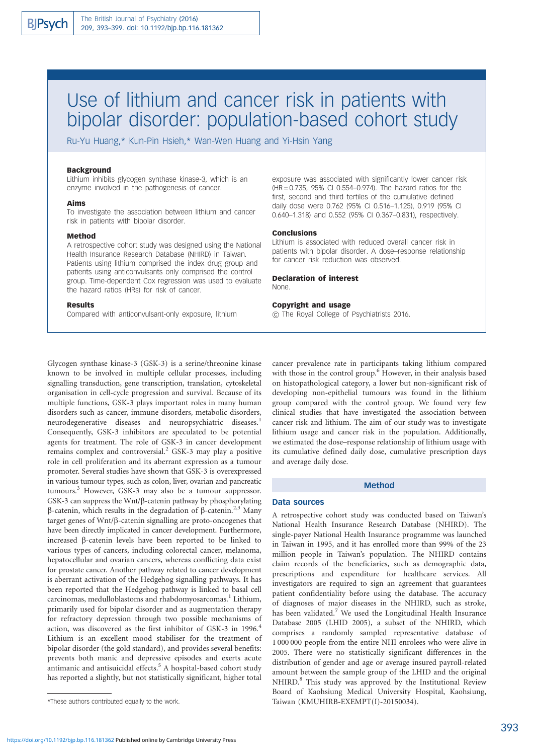Ru-Yu Huang,\* Kun-Pin Hsieh,\* Wan-Wen Huang and Yi-Hsin Yang

# Background

Lithium inhibits glycogen synthase kinase-3, which is an enzyme involved in the pathogenesis of cancer.

#### Aims

To investigate the association between lithium and cancer risk in patients with bipolar disorder.

#### Method

A retrospective cohort study was designed using the National Health Insurance Research Database (NHIRD) in Taiwan. Patients using lithium comprised the index drug group and patients using anticonvulsants only comprised the control group. Time-dependent Cox regression was used to evaluate the hazard ratios (HRs) for risk of cancer.

#### Results

Compared with anticonvulsant-only exposure, lithium

exposure was associated with significantly lower cancer risk (HR = 0.735, 95% CI 0.554–0.974). The hazard ratios for the first, second and third tertiles of the cumulative defined daily dose were 0.762 (95% CI 0.516–1.125), 0.919 (95% CI 0.640–1.318) and 0.552 (95% CI 0.367–0.831), respectively.

#### Conclusions

Lithium is associated with reduced overall cancer risk in patients with bipolar disorder. A dose–response relationship for cancer risk reduction was observed.

#### Declaration of interest

None.

#### Copyright and usage

B The Royal College of Psychiatrists 2016.

Glycogen synthase kinase-3 (GSK-3) is a serine/threonine kinase known to be involved in multiple cellular processes, including signalling transduction, gene transcription, translation, cytoskeletal organisation in cell-cycle progression and survival. Because of its multiple functions, GSK-3 plays important roles in many human disorders such as cancer, immune disorders, metabolic disorders, neurodegenerative diseases and neuropsychiatric diseases.<sup>1</sup> Consequently, GSK-3 inhibitors are speculated to be potential agents for treatment. The role of GSK-3 in cancer development remains complex and controversial.<sup>2</sup> GSK-3 may play a positive role in cell proliferation and its aberrant expression as a tumour promoter. Several studies have shown that GSK-3 is overexpressed in various tumour types, such as colon, liver, ovarian and pancreatic tumours.<sup>3</sup> However, GSK-3 may also be a tumour suppressor. GSK-3 can suppress the Wnt/ $\beta$ -catenin pathway by phosphorylating  $\beta$ -catenin, which results in the degradation of  $\beta$ -catenin.<sup>2,3</sup> Many target genes of Wnt/b-catenin signalling are proto-oncogenes that have been directly implicated in cancer development. Furthermore, increased b-catenin levels have been reported to be linked to various types of cancers, including colorectal cancer, melanoma, hepatocellular and ovarian cancers, whereas conflicting data exist for prostate cancer. Another pathway related to cancer development is aberrant activation of the Hedgehog signalling pathways. It has been reported that the Hedgehog pathway is linked to basal cell carcinomas, medulloblastoms and rhabdomyosarcomas.<sup>1</sup> Lithium, primarily used for bipolar disorder and as augmentation therapy for refractory depression through two possible mechanisms of action, was discovered as the first inhibitor of GSK-3 in 1996.<sup>4</sup> Lithium is an excellent mood stabiliser for the treatment of bipolar disorder (the gold standard), and provides several benefits: prevents both manic and depressive episodes and exerts acute antimanic and antisuicidal effects.<sup>5</sup> A hospital-based cohort study has reported a slightly, but not statistically significant, higher total

cancer prevalence rate in participants taking lithium compared with those in the control group.<sup>6</sup> However, in their analysis based on histopathological category, a lower but non-significant risk of developing non-epithelial tumours was found in the lithium group compared with the control group. We found very few clinical studies that have investigated the association between cancer risk and lithium. The aim of our study was to investigate lithium usage and cancer risk in the population. Additionally, we estimated the dose–response relationship of lithium usage with its cumulative defined daily dose, cumulative prescription days and average daily dose.

# Method

## Data sources

A retrospective cohort study was conducted based on Taiwan's National Health Insurance Research Database (NHIRD). The single-payer National Health Insurance programme was launched in Taiwan in 1995, and it has enrolled more than 99% of the 23 million people in Taiwan's population. The NHIRD contains claim records of the beneficiaries, such as demographic data, prescriptions and expenditure for healthcare services. All investigators are required to sign an agreement that guarantees patient confidentiality before using the database. The accuracy of diagnoses of major diseases in the NHIRD, such as stroke, has been validated.<sup>7</sup> We used the Longitudinal Health Insurance Database 2005 (LHID 2005), a subset of the NHIRD, which comprises a randomly sampled representative database of 1 000 000 people from the entire NHI enrolees who were alive in 2005. There were no statistically significant differences in the distribution of gender and age or average insured payroll-related amount between the sample group of the LHID and the original NHIRD.<sup>8</sup> This study was approved by the Institutional Review Board of Kaohsiung Medical University Hospital, Kaohsiung, Taiwan (KMUHIRB-EXEMPT(I)-20150034).

<sup>\*</sup>These authors contributed equally to the work.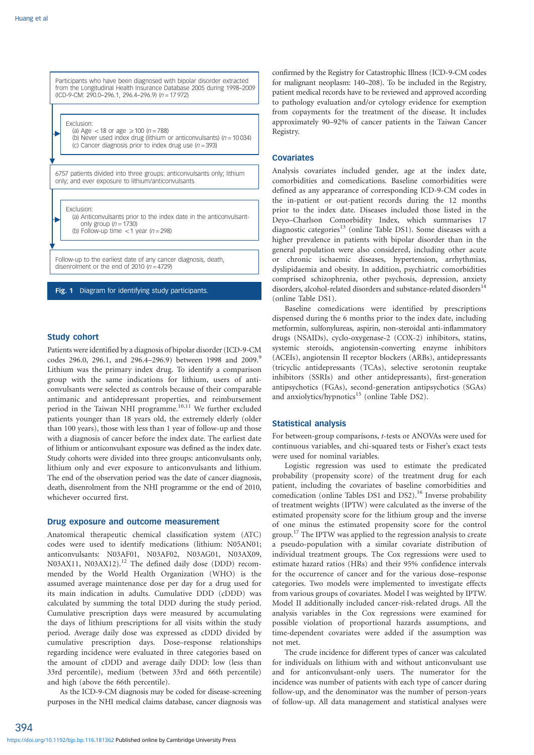

# Study cohort

Patients were identified by a diagnosis of bipolar disorder (ICD-9-CM codes 296.0, 296.1, and 296.4–296.9) between 1998 and 2009.<sup>9</sup> Lithium was the primary index drug. To identify a comparison group with the same indications for lithium, users of anticonvulsants were selected as controls because of their comparable antimanic and antidepressant properties, and reimbursement period in the Taiwan NHI programme.<sup>10,11</sup> We further excluded patients younger than 18 years old, the extremely elderly (older than 100 years), those with less than 1 year of follow-up and those with a diagnosis of cancer before the index date. The earliest date of lithium or anticonvulsant exposure was defined as the index date. Study cohorts were divided into three groups: anticonvulsants only, lithium only and ever exposure to anticonvulsants and lithium. The end of the observation period was the date of cancer diagnosis, death, disenrolment from the NHI programme or the end of 2010, whichever occurred first.

### Drug exposure and outcome measurement

Anatomical therapeutic chemical classification system (ATC) codes were used to identify medications (lithium: N05AN01; anticonvulsants: N03AF01, N03AF02, N03AG01, N03AX09, N03AX11, N03AX12).<sup>12</sup> The defined daily dose (DDD) recommended by the World Health Organization (WHO) is the assumed average maintenance dose per day for a drug used for its main indication in adults. Cumulative DDD (cDDD) was calculated by summing the total DDD during the study period. Cumulative prescription days were measured by accumulating the days of lithium prescriptions for all visits within the study period. Average daily dose was expressed as cDDD divided by cumulative prescription days. Dose–response relationships regarding incidence were evaluated in three categories based on the amount of cDDD and average daily DDD: low (less than 33rd percentile), medium (between 33rd and 66th percentile) and high (above the 66th percentile).

As the ICD-9-CM diagnosis may be coded for disease-screening purposes in the NHI medical claims database, cancer diagnosis was confirmed by the Registry for Catastrophic Illness (ICD-9-CM codes for malignant neoplasm: 140–208). To be included in the Registry, patient medical records have to be reviewed and approved according to pathology evaluation and/or cytology evidence for exemption from copayments for the treatment of the disease. It includes approximately 90–92% of cancer patients in the Taiwan Cancer Registry.

#### **Covariates**

Analysis covariates included gender, age at the index date, comorbidities and comedications. Baseline comorbidities were defined as any appearance of corresponding ICD-9-CM codes in the in-patient or out-patient records during the 12 months prior to the index date. Diseases included those listed in the Deyo–Charlson Comorbidity Index, which summarises 17 diagnostic categories<sup>13</sup> (online Table DS1). Some diseases with a higher prevalence in patients with bipolar disorder than in the general population were also considered, including other acute or chronic ischaemic diseases, hypertension, arrhythmias, dyslipidaemia and obesity. In addition, psychiatric comorbidities comprised schizophrenia, other psychosis, depression, anxiety disorders, alcohol-related disorders and substance-related disorders<sup>14</sup> (online Table DS1).

Baseline comedications were identified by prescriptions dispensed during the 6 months prior to the index date, including metformin, sulfonylureas, aspirin, non-steroidal anti-inflammatory drugs (NSAIDs), cyclo-oxygenase-2 (COX-2) inhibitors, statins, systemic steroids, angiotensin-converting enzyme inhibitors (ACEIs), angiotensin II receptor blockers (ARBs), antidepressants (tricyclic antidepressants (TCAs), selective serotonin reuptake inhibitors (SSRIs) and other antidepressants), first-generation antipsychotics (FGAs), second-generation antipsychotics (SGAs) and anxiolytics/hypnotics<sup>15</sup> (online Table DS2).

### Statistical analysis

For between-group comparisons, t-tests or ANOVAs were used for continuous variables, and chi-squared tests or Fisher's exact tests were used for nominal variables.

Logistic regression was used to estimate the predicated probability (propensity score) of the treatment drug for each patient, including the covariates of baseline comorbidities and comedication (online Tables DS1 and DS2).<sup>16</sup> Inverse probability of treatment weights (IPTW) were calculated as the inverse of the estimated propensity score for the lithium group and the inverse of one minus the estimated propensity score for the control group.<sup>17</sup> The IPTW was applied to the regression analysis to create a pseudo-population with a similar covariate distribution of individual treatment groups. The Cox regressions were used to estimate hazard ratios (HRs) and their 95% confidence intervals for the occurrence of cancer and for the various dose–response categories. Two models were implemented to investigate effects from various groups of covariates. Model I was weighted by IPTW. Model II additionally included cancer-risk-related drugs. All the analysis variables in the Cox regressions were examined for possible violation of proportional hazards assumptions, and time-dependent covariates were added if the assumption was not met.

The crude incidence for different types of cancer was calculated for individuals on lithium with and without anticonvulsant use and for anticonvulsant-only users. The numerator for the incidence was number of patients with each type of cancer during follow-up, and the denominator was the number of person-years of follow-up. All data management and statistical analyses were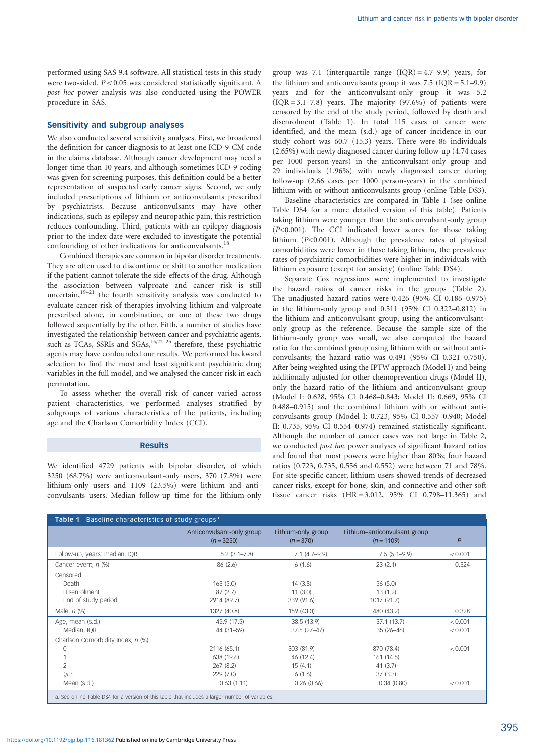performed using SAS 9.4 software. All statistical tests in this study were two-sided.  $P<0.05$  was considered statistically significant. A post hoc power analysis was also conducted using the POWER procedure in SAS.

# Sensitivity and subgroup analyses

We also conducted several sensitivity analyses. First, we broadened the definition for cancer diagnosis to at least one ICD-9-CM code in the claims database. Although cancer development may need a longer time than 10 years, and although sometimes ICD-9 coding was given for screening purposes, this definition could be a better representation of suspected early cancer signs. Second, we only included prescriptions of lithium or anticonvulsants prescribed by psychiatrists. Because anticonvulsants may have other indications, such as epilepsy and neuropathic pain, this restriction reduces confounding. Third, patients with an epilepsy diagnosis prior to the index date were excluded to investigate the potential confounding of other indications for anticonvulsants.<sup>18</sup>

Combined therapies are common in bipolar disorder treatments. They are often used to discontinue or shift to another medication if the patient cannot tolerate the side-effects of the drug. Although the association between valproate and cancer risk is still uncertain, $19-21$  the fourth sensitivity analysis was conducted to evaluate cancer risk of therapies involving lithium and valproate prescribed alone, in combination, or one of these two drugs followed sequentially by the other. Fifth, a number of studies have investigated the relationship between cancer and psychiatric agents, such as TCAs, SSRIs and SGAs,<sup>15,22-25</sup> therefore, these psychiatric agents may have confounded our results. We performed backward selection to find the most and least significant psychiatric drug variables in the full model, and we analysed the cancer risk in each permutation.

To assess whether the overall risk of cancer varied across patient characteristics, we performed analyses stratified by subgroups of various characteristics of the patients, including age and the Charlson Comorbidity Index (CCI).

# Results

We identified 4729 patients with bipolar disorder, of which 3250 (68.7%) were anticonvulsant-only users, 370 (7.8%) were lithium-only users and 1109 (23.5%) were lithium and anticonvulsants users. Median follow-up time for the lithium-only group was 7.1 (interquartile range  $(IQR) = 4.7-9.9$ ) years, for the lithium and anticonvulsants group it was  $7.5$  (IQR =  $5.1-9.9$ ) years and for the anticonvulsant-only group it was 5.2  $(IQR = 3.1 - 7.8)$  years. The majority  $(97.6%)$  of patients were censored by the end of the study period, followed by death and disenrolment (Table 1). In total 115 cases of cancer were identified, and the mean (s.d.) age of cancer incidence in our study cohort was 60.7 (15.3) years. There were 86 individuals (2.65%) with newly diagnosed cancer during follow-up (4.74 cases per 1000 person-years) in the anticonvulsant-only group and 29 individuals (1.96%) with newly diagnosed cancer during follow-up (2.66 cases per 1000 person-years) in the combined lithium with or without anticonvulsants group (online Table DS3).

Baseline characteristics are compared in Table 1 (see online Table DS4 for a more detailed version of this table). Patients taking lithium were younger than the anticonvulsant-only group (P<0.001). The CCI indicated lower scores for those taking lithium (P<0.001). Although the prevalence rates of physical comorbidities were lower in those taking lithium, the prevalence rates of psychiatric comorbidities were higher in individuals with lithium exposure (except for anxiety) (online Table DS4).

Separate Cox regressions were implemented to investigate the hazard ratios of cancer risks in the groups (Table 2). The unadjusted hazard ratios were 0.426 (95% CI 0.186–0.975) in the lithium-only group and 0.511 (95% CI 0.322–0.812) in the lithium and anticonvulsant group, using the anticonvulsantonly group as the reference. Because the sample size of the lithium-only group was small, we also computed the hazard ratio for the combined group using lithium with or without anticonvulsants; the hazard ratio was 0.491 (95% CI 0.321–0.750). After being weighted using the IPTW approach (Model I) and being additionally adjusted for other chemoprevention drugs (Model II), only the hazard ratio of the lithium and anticonvulsant group (Model I: 0.628, 95% CI 0.468–0.843; Model II: 0.669, 95% CI 0.488–0.915) and the combined lithium with or without anticonvulsants group (Model I: 0.723, 95% CI 0.557–0.940; Model II: 0.735, 95% CI 0.554–0.974) remained statistically significant. Although the number of cancer cases was not large in Table 2, we conducted post hoc power analyses of significant hazard ratios and found that most powers were higher than 80%; four hazard ratios (0.723, 0.735, 0.556 and 0.552) were between 71 and 78%. For site-specific cancer, lithium users showed trends of decreased cancer risks, except for bone, skin, and connective and other soft tissue cancer risks (HR = 3.012, 95% CI 0.798–11.365) and

| <b>Table 1</b> Baseline characteristics of study groups <sup>a</sup>                            |                                           |                                 |                                              |         |  |
|-------------------------------------------------------------------------------------------------|-------------------------------------------|---------------------------------|----------------------------------------------|---------|--|
|                                                                                                 | Anticonvulsant-only group<br>$(n = 3250)$ | Lithium-only group<br>$(n=370)$ | Lithium-anticonvulsant group<br>$(n = 1109)$ | P       |  |
| Follow-up, years: median, IQR                                                                   | $5.2$ $(3.1 - 7.8)$                       | $7.1(4.7-9.9)$                  | $7.5(5.1-9.9)$                               | < 0.001 |  |
| Cancer event, n (%)                                                                             | 86 (2.6)                                  | 6(1.6)                          | 23(2.1)                                      | 0.324   |  |
| Censored                                                                                        |                                           |                                 |                                              |         |  |
| Death                                                                                           | 163(5.0)                                  | 14(3.8)                         | 56(5.0)                                      |         |  |
| <b>Disenrolment</b>                                                                             | 87(2.7)                                   | 11(3.0)                         | 13(1.2)                                      |         |  |
| End of study period                                                                             | 2914 (89.7)                               | 339 (91.6)                      | 1017 (91.7)                                  |         |  |
| Male, $n$ $%$                                                                                   | 1327 (40.8)                               | 159 (43.0)                      | 480 (43.2)                                   | 0.328   |  |
| Age, mean (s.d.)                                                                                | 45.9 (17.5)                               | 38.5 (13.9)                     | 37.1(13.7)                                   | < 0.001 |  |
| Median, IQR                                                                                     | 44 (31-59)                                | $37.5(27-47)$                   | $35(26-46)$                                  | < 0.001 |  |
| Charlson Comorbidity Index, n (%)                                                               |                                           |                                 |                                              |         |  |
| $\mathbf{0}$                                                                                    | 2116 (65.1)                               | 303 (81.9)                      | 870 (78.4)                                   | < 0.001 |  |
|                                                                                                 | 638 (19.6)                                | 46 (12.4)                       | 161(14.5)                                    |         |  |
| $\mathcal{P}$                                                                                   | 267(8.2)                                  | 15(4.1)                         | 41(3.7)                                      |         |  |
| $\geqslant$ 3                                                                                   | 229(7.0)                                  | 6(1.6)                          | 37(3.3)                                      |         |  |
| Mean (s.d.)                                                                                     | 0.63(1.11)                                | 0.26(0.66)                      | 0.34(0.80)                                   | < 0.001 |  |
| a. See online Table DS4 for a version of this table that includes a larger number of variables. |                                           |                                 |                                              |         |  |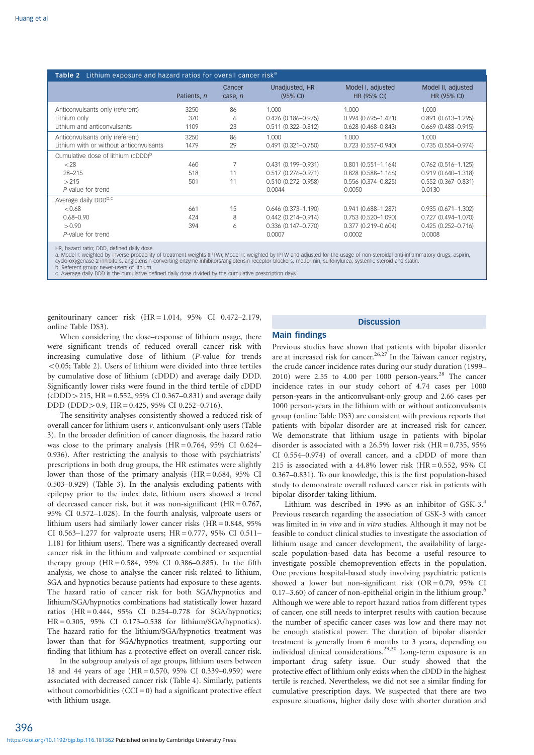| Table 2 Lithium exposure and hazard ratios for overall cancer risk <sup>a</sup> |             |                     |                                      |                                  |                                   |
|---------------------------------------------------------------------------------|-------------|---------------------|--------------------------------------|----------------------------------|-----------------------------------|
|                                                                                 | Patients, n | Cancer<br>case, $n$ | Unadjusted, HR<br>$(95% \text{ Cl})$ | Model I, adjusted<br>HR (95% CI) | Model II, adjusted<br>HR (95% CI) |
| Anticonvulsants only (referent)                                                 | 3250        | 86                  | 1.000                                | 1.000                            | 1.000                             |
| Lithium only                                                                    | 370         | 6                   | $0.426(0.186 - 0.975)$               | $0.994(0.695 - 1.421)$           | $0.891(0.613 - 1.295)$            |
| Lithium and anticonvulsants                                                     | 1109        | 23                  | $0.511(0.322 - 0.812)$               | $0.628(0.468 - 0.843)$           | $0.669$ (0.488-0.915)             |
| Anticonvulsants only (referent)                                                 | 3250        | 86                  | 1.000                                | 1.000                            | 1.000                             |
| Lithium with or without anticonvulsants                                         | 1479        | 29                  | $0.491(0.321 - 0.750)$               | $0.723$ $(0.557 - 0.940)$        | $0.735(0.554 - 0.974)$            |
| Cumulative dose of lithium (cDDD) <sup>b</sup>                                  |             |                     |                                      |                                  |                                   |
| ${<}28$                                                                         | 460         |                     | $0.431(0.199 - 0.931)$               | $0.801(0.551 - 1.164)$           | $0.762$ $(0.516 - 1.125)$         |
| $28 - 215$                                                                      | 518         | 11                  | $0.517(0.276 - 0.971)$               | $0.828$ (0.588-1.166)            | $0.919(0.640 - 1.318)$            |
| >215                                                                            | 501         | 11                  | $0.510(0.272 - 0.958)$               | 0.556 (0.374-0.825)              | $0.552(0.367 - 0.831)$            |
| P-value for trend                                                               |             |                     | 0.0044                               | 0.0050                           | 0.0130                            |
| Average daily DDDb,c                                                            |             |                     |                                      |                                  |                                   |
| < 0.68                                                                          | 661         | 15                  | $0.646(0.373 - 1.190)$               | $0.941(0.688 - 1.287)$           | $0.935(0.671 - 1.302)$            |
| $0.68 - 0.90$                                                                   | 424         | 8                   | $0.442(0.214 - 0.914)$               | $0.753(0.520 - 1.090)$           | $0.727(0.494 - 1.070)$            |
| > 0.90                                                                          | 394         | 6                   | $0.336(0.147 - 0.770)$               | $0.377$ (0.219-0.604)            | $0.425(0.252 - 0.716)$            |
| P-value for trend                                                               |             |                     | 0.0007                               | 0.0002                           | 0.0008                            |

HR, hazard ratio; DDD, defined daily dose.

a. Model I: weighted by inverse probability of treatment weights (IPTW); Model II: weighted by IPTW and adjusted for the usage of non-steroidal anti-inflammatory drugs, aspirin, cyclo-oxygenase-2 inhibitors, angiotensin-converting enzyme inhibitors/angiotensin receptor blockers, metformin, sulfonylurea, systemic steroid and statin. b. Referent group: never-users of lithium.

c. Average daily DDD is the cumulative defined daily dose divided by the cumulative prescription days.

genitourinary cancer risk (HR = 1.014, 95% CI 0.472–2.179, online Table DS3).

When considering the dose–response of lithium usage, there were significant trends of reduced overall cancer risk with increasing cumulative dose of lithium (P-value for trends  $<$  0.05; Table 2). Users of lithium were divided into three tertiles by cumulative dose of lithium (cDDD) and average daily DDD. Significantly lower risks were found in the third tertile of cDDD  $(cDDD > 215, HR = 0.552, 95\% \text{ CI } 0.367-0.831)$  and average daily DDD (DDD  $> 0.9$ , HR = 0.425, 95% CI 0.252–0.716).

The sensitivity analyses consistently showed a reduced risk of overall cancer for lithium users v. anticonvulsant-only users (Table 3). In the broader definition of cancer diagnosis, the hazard ratio was close to the primary analysis (HR = 0.764, 95% CI 0.624– 0.936). After restricting the analysis to those with psychiatrists' prescriptions in both drug groups, the HR estimates were slightly lower than those of the primary analysis (HR = 0.684, 95% CI 0.503–0.929) (Table 3). In the analysis excluding patients with epilepsy prior to the index date, lithium users showed a trend of decreased cancer risk, but it was non-significant ( $HR = 0.767$ , 95% CI 0.572–1.028). In the fourth analysis, valproate users or lithium users had similarly lower cancer risks (HR = 0.848, 95% CI 0.563-1.277 for valproate users;  $HR = 0.777$ , 95% CI 0.511-1.181 for lithium users). There was a significantly decreased overall cancer risk in the lithium and valproate combined or sequential therapy group  $(HR = 0.584, 95\% \text{ CI } 0.386-0.885)$ . In the fifth analysis, we chose to analyse the cancer risk related to lithium, SGA and hypnotics because patients had exposure to these agents. The hazard ratio of cancer risk for both SGA/hypnotics and lithium/SGA/hypnotics combinations had statistically lower hazard ratios  $(HR = 0.444, 95\% \text{ CI} 0.254 - 0.778 \text{ for SGA/hy  
photics;$ HR = 0.305, 95% CI 0.173–0.538 for lithium/SGA/hypnotics). The hazard ratio for the lithium/SGA/hypnotics treatment was lower than that for SGA/hypnotics treatment, supporting our finding that lithium has a protective effect on overall cancer risk.

In the subgroup analysis of age groups, lithium users between 18 and 44 years of age (HR = 0.570, 95% CI 0.339–0.959) were associated with decreased cancer risk (Table 4). Similarly, patients without comorbidities  $(CCI = 0)$  had a significant protective effect with lithium usage.

# **Discussion**

# Main findings

Previous studies have shown that patients with bipolar disorder are at increased risk for cancer.<sup>26,27</sup> In the Taiwan cancer registry, the crude cancer incidence rates during our study duration (1999– 2010) were 2.55 to 4.00 per 1000 person-years.<sup>28</sup> The cancer incidence rates in our study cohort of 4.74 cases per 1000 person-years in the anticonvulsant-only group and 2.66 cases per 1000 person-years in the lithium with or without anticonvulsants group (online Table DS3) are consistent with previous reports that patients with bipolar disorder are at increased risk for cancer. We demonstrate that lithium usage in patients with bipolar disorder is associated with a 26.5% lower risk (HR = 0.735, 95% CI 0.554–0.974) of overall cancer, and a cDDD of more than 215 is associated with a 44.8% lower risk  $(HR = 0.552, 95\% \text{ CI}$ 0.367–0.831). To our knowledge, this is the first population-based study to demonstrate overall reduced cancer risk in patients with bipolar disorder taking lithium.

Lithium was described in 1996 as an inhibitor of GSK-3.<sup>4</sup> Previous research regarding the association of GSK-3 with cancer was limited in in vivo and in vitro studies. Although it may not be feasible to conduct clinical studies to investigate the association of lithium usage and cancer development, the availability of largescale population-based data has become a useful resource to investigate possible chemoprevention effects in the population. One previous hospital-based study involving psychiatric patients showed a lower but non-significant risk  $(OR = 0.79, 95\% \text{ CI})$ 0.17-3.60) of cancer of non-epithelial origin in the lithium group.<sup>6</sup> Although we were able to report hazard ratios from different types of cancer, one still needs to interpret results with caution because the number of specific cancer cases was low and there may not be enough statistical power. The duration of bipolar disorder treatment is generally from 6 months to 3 years, depending on individual clinical considerations.29,30 Long-term exposure is an important drug safety issue. Our study showed that the protective effect of lithium only exists when the cDDD in the highest tertile is reached. Nevertheless, we did not see a similar finding for cumulative prescription days. We suspected that there are two exposure situations, higher daily dose with shorter duration and

396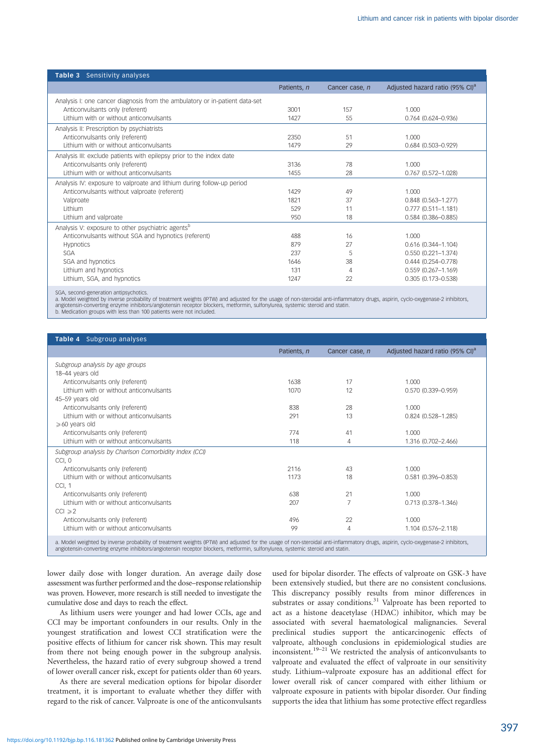| Table 3 Sensitivity analyses                                                |             |                |                                             |
|-----------------------------------------------------------------------------|-------------|----------------|---------------------------------------------|
|                                                                             | Patients, n | Cancer case, n | Adjusted hazard ratio (95% CI) <sup>a</sup> |
| Analysis I: one cancer diagnosis from the ambulatory or in-patient data-set |             |                |                                             |
| Anticonvulsants only (referent)                                             | 3001        | 157            | 1.000                                       |
| Lithium with or without anticonvulsants                                     | 1427        | 55             | 0.764 (0.624-0.936)                         |
| Analysis II: Prescription by psychiatrists                                  |             |                |                                             |
| Anticonvulsants only (referent)                                             | 2350        | 51             | 1.000                                       |
| Lithium with or without anticonvulsants                                     | 1479        | 29             | $0.684(0.503 - 0.929)$                      |
| Analysis III: exclude patients with epilepsy prior to the index date        |             |                |                                             |
| Anticonvulsants only (referent)                                             | 3136        | 78             | 1.000                                       |
| Lithium with or without anticonvulsants                                     | 1455        | 28             | $0.767$ $(0.572 - 1.028)$                   |
| Analysis IV: exposure to valproate and lithium during follow-up period      |             |                |                                             |
| Anticonvulsants without valproate (referent)                                | 1429        | 49             | 1.000                                       |
| Valproate                                                                   | 1821        | 37             | $0.848(0.563 - 1.277)$                      |
| Lithium                                                                     | 529         | 11             | $0.777$ $(0.511 - 1.181)$                   |
| Lithium and valproate                                                       | 950         | 18             | $0.584$ (0.386-0.885)                       |
| Analysis V: exposure to other psychiatric agents <sup>b</sup>               |             |                |                                             |
| Anticonvulsants without SGA and hypnotics (referent)                        | 488         | 16             | 1.000                                       |
| Hypnotics                                                                   | 879         | 27             | $0.616(0.344 - 1.104)$                      |
| SGA                                                                         | 237         | 5              | $0.550(0.221 - 1.374)$                      |
| SGA and hypnotics                                                           | 1646        | 38             | $0.444$ (0.254-0.778)                       |
| Lithium and hypnotics                                                       | 131         | 4              | $0.559$ (0.267-1.169)                       |
| Lithium, SGA, and hypnotics                                                 | 1247        | 22             | $0.305(0.173 - 0.538)$                      |

SGA, second-generation antipsychotics.<br>a. Model weighted by inverse probability of treatment weights (IPTW) and adjusted for the usage of non-steroidal anti-inflammatory drugs, aspirin, cyclo-oxygenase-2 inhibitors,<br>angiot

b. Medication groups with less than 100 patients were not included.

| Table 4 Subgroup analyses                             |             |                |                                             |
|-------------------------------------------------------|-------------|----------------|---------------------------------------------|
|                                                       | Patients, n | Cancer case, n | Adjusted hazard ratio (95% CI) <sup>a</sup> |
| Subgroup analysis by age groups                       |             |                |                                             |
| 18-44 years old                                       |             |                |                                             |
| Anticonvulsants only (referent)                       | 1638        | 17             | 1.000                                       |
| Lithium with or without anticonvulsants               | 1070        | 12             | $0.570(0.339 - 0.959)$                      |
| 45-59 years old                                       |             |                |                                             |
| Anticonvulsants only (referent)                       | 838         | 28             | 1.000                                       |
| Lithium with or without anticonvulsants               | 291         | 13             | $0.824(0.528 - 1.285)$                      |
| $\geq 60$ years old                                   |             |                |                                             |
| Anticonvulsants only (referent)                       | 774         | 41             | 1.000                                       |
| Lithium with or without anticonvulsants               | 118         | $\overline{4}$ | 1.316 (0.702-2.466)                         |
| Subgroup analysis by Charlson Comorbidity Index (CCI) |             |                |                                             |
| CCI, 0                                                |             |                |                                             |
| Anticonvulsants only (referent)                       | 2116        | 43             | 1.000                                       |
| Lithium with or without anticonvulsants               | 1173        | 18             | $0.581(0.396 - 0.853)$                      |
| CCI, 1                                                |             |                |                                             |
| Anticonvulsants only (referent)                       | 638         | 21             | 1.000                                       |
| Lithium with or without anticonvulsants               | 207         | 7              | 0.713 (0.378-1.346)                         |
| $ CC  \ge 2$                                          |             |                |                                             |
| Anticonvulsants only (referent)                       | 496         | 22             | 1.000                                       |
| Lithium with or without anticonvulsants               | 99          | $\overline{4}$ | 1.104 (0.576-2.118)                         |
|                                                       |             |                |                                             |

a. Model weighted by inverse probability of treatment weights (IPTW) and adjusted for the usage of non-steroidal anti-inflammatory drugs, aspirin, cyclo-oxygenase-2 inhibitors,<br>angiotensin-converting enzyme inhibitors/angi

lower daily dose with longer duration. An average daily dose assessment was further performed and the dose–response relationship was proven. However, more research is still needed to investigate the cumulative dose and days to reach the effect.

As lithium users were younger and had lower CCIs, age and CCI may be important confounders in our results. Only in the youngest stratification and lowest CCI stratification were the positive effects of lithium for cancer risk shown. This may result from there not being enough power in the subgroup analysis. Nevertheless, the hazard ratio of every subgroup showed a trend of lower overall cancer risk, except for patients older than 60 years.

As there are several medication options for bipolar disorder treatment, it is important to evaluate whether they differ with regard to the risk of cancer. Valproate is one of the anticonvulsants used for bipolar disorder. The effects of valproate on GSK-3 have been extensively studied, but there are no consistent conclusions. This discrepancy possibly results from minor differences in substrates or assay conditions.<sup>31</sup> Valproate has been reported to act as a histone deacetylase (HDAC) inhibitor, which may be associated with several haematological malignancies. Several preclinical studies support the anticarcinogenic effects of valproate, although conclusions in epidemiological studies are inconsistent.<sup>19–21</sup> We restricted the analysis of anticonvulsants to valproate and evaluated the effect of valproate in our sensitivity study. Lithium–valproate exposure has an additional effect for lower overall risk of cancer compared with either lithium or valproate exposure in patients with bipolar disorder. Our finding supports the idea that lithium has some protective effect regardless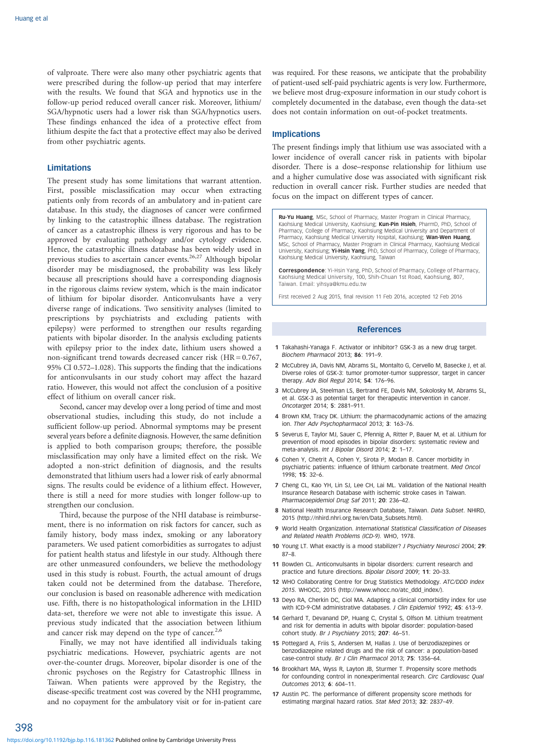of valproate. There were also many other psychiatric agents that were prescribed during the follow-up period that may interfere with the results. We found that SGA and hypnotics use in the follow-up period reduced overall cancer risk. Moreover, lithium/ SGA/hypnotic users had a lower risk than SGA/hypnotics users. These findings enhanced the idea of a protective effect from lithium despite the fact that a protective effect may also be derived from other psychiatric agents.

### **Limitations**

The present study has some limitations that warrant attention. First, possible misclassification may occur when extracting patients only from records of an ambulatory and in-patient care database. In this study, the diagnoses of cancer were confirmed by linking to the catastrophic illness database. The registration of cancer as a catastrophic illness is very rigorous and has to be approved by evaluating pathology and/or cytology evidence. Hence, the catastrophic illness database has been widely used in previous studies to ascertain cancer events.26,27 Although bipolar disorder may be misdiagnosed, the probability was less likely because all prescriptions should have a corresponding diagnosis in the rigorous claims review system, which is the main indicator of lithium for bipolar disorder. Anticonvulsants have a very diverse range of indications. Two sensitivity analyses (limited to prescriptions by psychiatrists and excluding patients with epilepsy) were performed to strengthen our results regarding patients with bipolar disorder. In the analysis excluding patients with epilepsy prior to the index date, lithium users showed a non-significant trend towards decreased cancer risk (HR = 0.767, 95% CI 0.572–1.028). This supports the finding that the indications for anticonvulsants in our study cohort may affect the hazard ratio. However, this would not affect the conclusion of a positive effect of lithium on overall cancer risk.

Second, cancer may develop over a long period of time and most observational studies, including this study, do not include a sufficient follow-up period. Abnormal symptoms may be present several years before a definite diagnosis. However, the same definition is applied to both comparison groups; therefore, the possible misclassification may only have a limited effect on the risk. We adopted a non-strict definition of diagnosis, and the results demonstrated that lithium users had a lower risk of early abnormal signs. The results could be evidence of a lithium effect. However, there is still a need for more studies with longer follow-up to strengthen our conclusion.

Third, because the purpose of the NHI database is reimbursement, there is no information on risk factors for cancer, such as family history, body mass index, smoking or any laboratory parameters. We used patient comorbidities as surrogates to adjust for patient health status and lifestyle in our study. Although there are other unmeasured confounders, we believe the methodology used in this study is robust. Fourth, the actual amount of drugs taken could not be determined from the database. Therefore, our conclusion is based on reasonable adherence with medication use. Fifth, there is no histopathological information in the LHID data-set, therefore we were not able to investigate this issue. A previous study indicated that the association between lithium and cancer risk may depend on the type of cancer. $2,6$ 

Finally, we may not have identified all individuals taking psychiatric medications. However, psychiatric agents are not over-the-counter drugs. Moreover, bipolar disorder is one of the chronic psychoses on the Registry for Catastrophic Illness in Taiwan. When patients were approved by the Registry, the disease-specific treatment cost was covered by the NHI programme, and no copayment for the ambulatory visit or for in-patient care was required. For these reasons, we anticipate that the probability of patient-used self-paid psychiatric agents is very low. Furthermore, we believe most drug-exposure information in our study cohort is completely documented in the database, even though the data-set does not contain information on out-of-pocket treatments.

## Implications

The present findings imply that lithium use was associated with a lower incidence of overall cancer risk in patients with bipolar disorder. There is a dose–response relationship for lithium use and a higher cumulative dose was associated with significant risk reduction in overall cancer risk. Further studies are needed that focus on the impact on different types of cancer.

Ru-Yu Huang, MSc, School of Pharmacy, Master Program in Clinical Pharmacy, Ka Turnang, Med, Senser of Thamasy, Maccor Tregram in Sillical Thamasy,<br>Kaohsiung Medical University, Kaohsiung; **Kun-Pin Hsieh**, PharmD, PhD, School of Pharmacy, College of Pharmacy, Kaohsiung Medical University and Department of Pharmacy, Kaohsiung Medical University Hospital, Kaohsiung; Wan-Wen Huang, MSc, School of Pharmacy, Master Program in Clinical Pharmacy, Kaohsiung Medical University, Kaohsiung; Yi-Hsin Yang, PhD, School of Pharmacy, College of Pharmacy, Kaohsiung Medical University, Kaohsiung, Taiwan

Correspondence: Yi-Hsin Yang, PhD, School of Pharmacy, College of Pharmacy, Kaohsiung Medical University, 100, Shih-Chuan 1st Road, Kaohsiung, 807, Taiwan. Email: yihsya@kmu.edu.tw

First received 2 Aug 2015, final revision 11 Feb 2016, accepted 12 Feb 2016

## References

- 1 Takahashi-Yanaga F. Activator or inhibitor? GSK-3 as a new drug target. Biochem Pharmacol 2013; 86: 191–9.
- 2 McCubrey JA, Davis NM, Abrams SL, Montalto G, Cervello M, Basecke J, et al. Diverse roles of GSK-3: tumor promoter-tumor suppressor, target in cancer therapy. Adv Biol Regul 2014; 54: 176–96.
- 3 McCubrey JA, Steelman LS, Bertrand FE, Davis NM, Sokolosky M, Abrams SL, et al. GSK-3 as potential target for therapeutic intervention in cancer. Oncotarget 2014; 5: 2881–911.
- 4 Brown KM, Tracy DK. Lithium: the pharmacodynamic actions of the amazing ion. Ther Adv Psychopharmacol 2013; 3: 163–76.
- 5 Severus E, Taylor MJ, Sauer C, Pfennig A, Ritter P, Bauer M, et al. Lithium for prevention of mood episodes in bipolar disorders: systematic review and meta-analysis. Int J Bipolar Disord 2014; 2: 1–17.
- 6 Cohen Y, Chetrit A, Cohen Y, Sirota P, Modan B. Cancer morbidity in psychiatric patients: influence of lithium carbonate treatment. Med Oncol 1998; 15: 32–6.
- 7 Cheng CL, Kao YH, Lin SJ, Lee CH, Lai ML. Validation of the National Health Insurance Research Database with ischemic stroke cases in Taiwan. Pharmacoepidemiol Drug Saf 2011; 20: 236–42.
- 8 National Health Insurance Research Database, Taiwan. Data Subset. NHIRD, 2015 (http://nhird.nhri.org.tw/en/Data\_Subsets.html).
- 9 World Health Organization. International Statistical Classification of Diseases and Related Health Problems (ICD-9). WHO, 1978.
- 10 Young LT. What exactly is a mood stabilizer? J Psychiatry Neurosci 2004; 29: 87–8.
- 11 Bowden CL. Anticonvulsants in bipolar disorders: current research and practice and future directions. Bipolar Disord 2009; 11: 20–33.
- 12 WHO Collaborating Centre for Drug Statistics Methodology. ATC/DDD Index 2015. WHOCC, 2015 (http://www.whocc.no/atc\_ddd\_index/).
- 13 Deyo RA, Cherkin DC, Ciol MA. Adapting a clinical comorbidity index for use with ICD-9-CM administrative databases. J Clin Epidemiol 1992: **45**: 613–9.
- 14 Gerhard T, Devanand DP, Huang C, Crystal S, Olfson M. Lithium treatment and risk for dementia in adults with bipolar disorder: population-based cohort study. Br J Psychiatry 2015; 207: 46-51.
- 15 Pottegard A, Friis S, Andersen M, Hallas J. Use of benzodiazepines or benzodiazepine related drugs and the risk of cancer: a population-based case-control study. Br J Clin Pharmacol 2013; 75: 1356–64.
- 16 Brookhart MA, Wyss R, Layton JB, Sturmer T. Propensity score methods for confounding control in nonexperimental research. Circ Cardiovasc Qual Outcomes 2013; 6: 604–11.
- 17 Austin PC. The performance of different propensity score methods for estimating marginal hazard ratios. Stat Med 2013; 32: 2837–49.

398